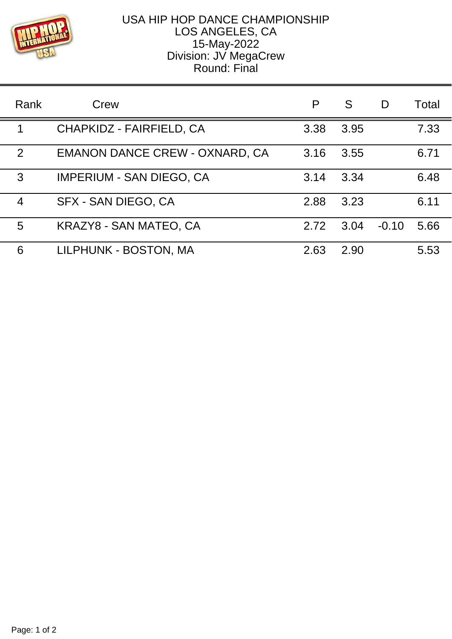

## USA HIP HOP DANCE CHAMPIONSHIP LOS ANGELES, CA 15-May-2022 Division: JV MegaCrew Round: Final

| Rank | Crew                                  | P    | S    | D       | Total |
|------|---------------------------------------|------|------|---------|-------|
| 1    | CHAPKIDZ - FAIRFIELD, CA              | 3.38 | 3.95 |         | 7.33  |
| 2    | <b>EMANON DANCE CREW - OXNARD, CA</b> | 3.16 | 3.55 |         | 6.71  |
| 3    | <b>IMPERIUM - SAN DIEGO, CA</b>       | 3.14 | 3.34 |         | 6.48  |
| 4    | SFX - SAN DIEGO, CA                   | 2.88 | 3.23 |         | 6.11  |
| 5    | KRAZY8 - SAN MATEO, CA                | 2.72 | 3.04 | $-0.10$ | 5.66  |
| 6    | LILPHUNK - BOSTON, MA                 | 2.63 | 2.90 |         | 5.53  |